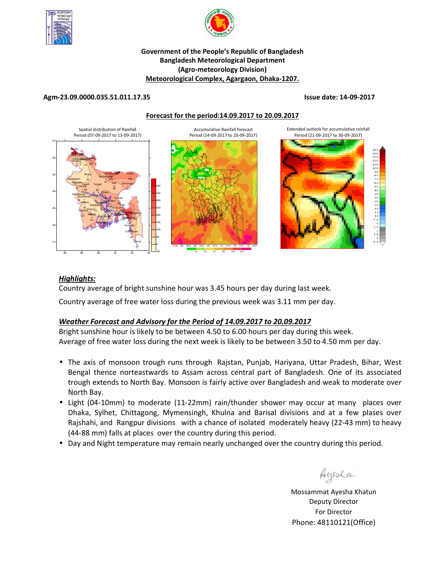



### **Government of the People's Republic of Bangladesh Bangladesh Meteorological Department (Agro-meteorology Division) Meteorological Complex, Agargaon, Dhaka-1207.**

#### **Agm-23.09.0000.035.51.011.17.35 Issue date: 14-09-2017**





## *Highlights:*

Country average of bright sunshine hour was 3.45 hours per day during last week.

Country average of free water loss during the previous week was 3.11 mm per day.

## *Weather Forecast and Advisory for the Period of 14.09.2017 to 20.09.2017*

Bright sunshine hour is likely to be between 4.50 to 6.00 hours per day during this week. Average of free water loss during the next week is likely to be between 3.50 to 4.50 mm per day.

- The axis of monsoon trough runs through Rajstan, Punjab, Hariyana, Uttar Pradesh, Bihar, West Bengal thence norteastwards to Assam across central part of Bangladesh. One of its associated trough extends to North Bay. Monsoon is fairly active over Bangladesh and weak to moderate over North Bay.
- Light (04-10mm) to moderate (11-22mm) rain/thunder shower may occur at many places over Dhaka, Sylhet, Chittagong, Mymensingh, Khulna and Barisal divisions and at a few plases over Rajshahi, and Rangpur divisions with a chance of isolated moderately heavy (22-43 mm) to heavy (44-88 mm) falls at places over the country during this period.
- Day and Night temperature may remain nearly unchanged over the country during this period.

Ayesha

**N.B** Mossammat Ayesha Khatun Deputy Director For Director Phone: 48110121(Office)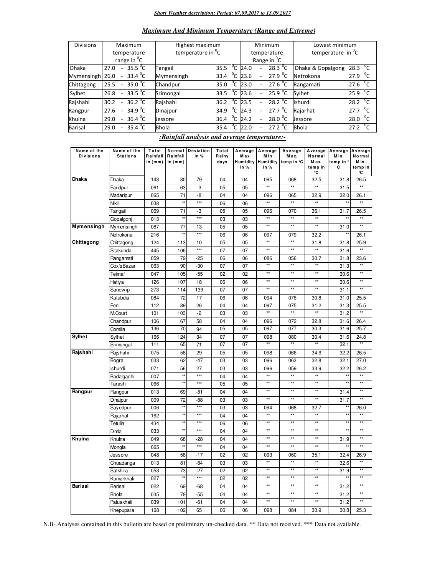#### *Short Weather description; Period: 07.09.2017 to 13.09.2017*

#### *Maximum And Minimum Temperature (Range and Extreme)*

| <b>Divisions</b> | Maximum                                               | Highest maximum               |  |      | Minimum                  | Lowest minimum           |                      |                   |                |
|------------------|-------------------------------------------------------|-------------------------------|--|------|--------------------------|--------------------------|----------------------|-------------------|----------------|
|                  | temperature                                           | temperature in <sup>"</sup> C |  |      |                          | temperature              | temperature in $^0C$ |                   |                |
|                  | range in <sup>o</sup> C                               |                               |  |      |                          | Range in <sup>o</sup> C  |                      |                   |                |
| <b>Dhaka</b>     | 35.5 $\degree$ C<br>27.0                              | °c<br>35.5<br>Tangail         |  | 24.0 |                          | 28.3 $^0C$               | Dhaka & Gopalgong    | 28.3              | $^{0}C$        |
| Mymensingh       | 33.4 <sup>0</sup> C<br>26.0<br>$\sim$                 | °c<br>Mymensingh<br>33.4      |  | 23.6 |                          | 27.9 $^{\circ}$ C        | Netrokona            | 27.9              | $^0C$          |
| Chittagong       | 35.0 $\degree$ C<br>25.5<br>$\overline{\phantom{a}}$  | °C<br>Chandpur<br>35.0        |  | 23.0 | $\overline{\phantom{0}}$ | 27.6 $^0C$               | Rangamati            | 27.6              | $^0C$          |
| Sylhet           | $-33.5\,^0C$<br>26.8                                  | $^0C$<br>33.5<br>Srimongal    |  | 23.6 |                          | $25.9^{\circ}$ C         | Sylhet               | 25.9 $^{\circ}$ C |                |
| Rajshahi         | 36.2 $\degree$ C<br>30.2<br>$\overline{a}$            | °C<br>Rajshahi<br>36.2        |  | 23.5 |                          | 28.2 $\degree$ C         | Ishurdi              | 28.2              | ັ′ເ            |
| Rangpur          | 34.9 $^{\circ}$ C<br>27.6<br>$\overline{\phantom{a}}$ | °c<br>Dinajpur<br>34.9        |  | 24.3 |                          | 27.7 <sup>o</sup> C      | Rajarhat             | 27.7              | ് $\mathsf{C}$ |
| Khulna           | 36.4 $\mathrm{C}$<br>29.0<br>$\overline{a}$           | °C<br>36.4<br>Jessore         |  | 24.2 |                          | 28.0 $\degree$ C         | Jessore              | 28.0              |                |
| <b>Barisal</b>   | $35.4^{\circ}$ C<br>29.0                              | °C<br><b>Bhola</b><br>35.4    |  | 22.0 |                          | $27.2 \, ^0\overline{C}$ | <b>Bhola</b>         | 27.2              |                |

#### *:Rainfall analysis and average temperature:-*

| Name of the      | Name of the     | Total    | Normal       | Deviation | Total |      | Average Average | Average                      | Average         | Average           | Average         |
|------------------|-----------------|----------|--------------|-----------|-------|------|-----------------|------------------------------|-----------------|-------------------|-----------------|
| <b>Divisions</b> | <b>Stations</b> | Rainfall | Rainfall     | in %      | Rainy | Max  | M in            | M ax.                        | Normal          | M in.             | Normal          |
|                  |                 | in (mm)  | in $(mm)$    |           | days  |      |                 | Humidity Humidity temp in °C | Max.            | temp in '         | M in.           |
|                  |                 |          |              |           |       | in % | in $%$          |                              | temp in<br>۰c   | С                 | temp in<br>°C   |
| <b>Dhaka</b>     | Dhaka           | 143      | 80           | 79        | 04    | 04   | 095             | 068                          | 32.5            | 31.8              | 26.5            |
|                  | Faridpur        | 061      | 63           | -3        | 05    | 05   | $\star\star$    | $\star\star$                 | $\star\star$    | 31.5              |                 |
|                  | Madaripur       | 065      | 71           | -8        | 04    | 04   | 096             | 065                          | 32.9            | 32.0              | 26.1            |
|                  | Nikli           | 038      | $\star\star$ | $***$     | 06    | 06   | $\overline{1}$  | $\star\star$                 | $\star\star$    | $\star$           | $\star\star$    |
|                  | Tangail         | 069      | 71           | -3        | 05    | 05   | 096             | 070                          | 36.1            | 31.7              | 26.5            |
|                  | Gopalgonj       | 013      | $\star$      | $***$     | 03    | 03   | $\star\star$    | $\star\star$                 | $\star\star$    | $\star$           | $\star\star$    |
| Mymensingh       | Mymensingh      | 087      | 77           | 13        | 05    | 05   | $\star\star$    | $\star\star$                 | $\star\star$    | 31.0              | $\star\star$    |
|                  | Netrokona       | 216      | $\star$      | $***$     | 06    | 06   | 097             | 079                          | 32.2            | $\star\star$      | 26.1            |
| Chittagong       | Chittagong      | 124      | 113          | 10        | 05    | 05   | $\star\star$    | $\star\star$                 | 31.8            | 31.8              | 25.9            |
|                  | Sitakunda       | 445      | 106          | $***$     | 07    | 07   | $^{\star\star}$ | $^{\star\star}$              | $\star\star$    | 31.6              | $\star\star$    |
|                  | Rangamati       | 059      | 79           | $-25$     | 06    | 06   | 086             | 056                          | 30.7            | 31.8              | 23.6            |
|                  | Cox'sBazar      | 063      | 90           | $-30$     | 07    | 07   | $\star\star$    | $\star\star$                 | $\star\star$    | 31.3              | $\star\star$    |
|                  | Teknaf          | 047      | 105          | $-55$     | 02    | 02   | $\star\star$    | $\star\star$                 | $\star\star$    | 30.6              | $\star\star$    |
|                  | Hatiya          | 126      | 107          | 18        | 06    | 06   | $\star\star$    | $\star\star$                 | $\star\star$    | 30.6              | $\star\star$    |
|                  | Sandw ip        | 273      | 114          | 139       | 07    | 07   | $^{\star\star}$ | $^{\star\star}$              | $\star\star$    | 31.1              | $\star\star$    |
|                  | Kutubdia        | 084      | 72           | 17        | 06    | 06   | 094             | 076                          | 30.8            | 31.0              | 25.5            |
|                  | Feni            | 112      | 89           | 26        | 04    | 04   | 097             | 075                          | 31.2            | 31.3              | 25.5            |
|                  | M.Court         | 101      | 103          | $-2$      | 03    | 03   | $\star\star$    | $^{\star\star}$              | $^{\star\star}$ | 31.2              | $\star\star$    |
|                  | Chandpur        | 106      | 67           | 58        | 04    | 04   | 096             | 072                          | 32.8            | 31.6              | 26.4            |
|                  | Comilla         | 136      | 70           | 94        | 05    | 05   | 097             | 077                          | 30.3            | 31.6              | 25.7            |
| Sylhet           | Sylhet          | 166      | 124          | 34        | 07    | 07   | 098             | 080                          | 30.4            | 31.6              | 24.8            |
|                  | Srimongal       | 111      | 65           | 71        | 07    | 07   | $\star\star$    | $\star\star$                 | $\star\star$    | 32.1              | $\overline{**}$ |
| Rajshahi         | Rajshahi        | 075      | 58           | 29        | 05    | 05   | 098             | 066                          | 34.6            | 32.2              | 26.5            |
|                  | Bogra           | 033      | 62           | $-47$     | 03    | 03   | 096             | 063                          | 32.8            | 32.1              | 27.0            |
|                  | <b>Ishurdi</b>  | 071      | 56           | 27        | 03    | 03   | 096             | 059                          | 33.9            | 32.2              | 26.2            |
|                  | Badalgachi      | 007      | $\star\star$ | $***$     | 04    | 04   | $\star\star$    | $\star\star$                 | $\star\star$    | $\star$           | $\star\star$    |
|                  | Tarash          | 066      | $*$          | $***$     | 05    | 05   | $**$            | $\star\star$                 | $**$            | $\overline{\ast}$ | $\overline{**}$ |
| Rangpur          | Rangpur         | 013      | 69           | $-81$     | 04    | 04   | $\star\star$    | $\star\star$                 | $\star\star$    | 31.4              | $\star\star$    |
|                  | Dinajpur        | 009      | 72           | -88       | 03    | 03   | $\star\star$    | $\star\star$                 | $\star\star$    | 31.7              | $\star\star$    |
|                  | Sayedpur        | 006      | $\star$      | $***$     | 03    | 03   | 094             | 068                          | 32.7            | $\star$           | 26.0            |
|                  | Rajarhat        | 162      | $\star\star$ | $***$     | 04    | 04   | $\star\star$    | $\star\star$                 | $\star\star$    | $\star$           | $\star\star$    |
|                  | Tetulia         | 434      | $\star\star$ | $***$     | 06    | 06   | $^{\star\star}$ | $^{\star\star}$              | $\star\star$    | $\star$           | $\star\star$    |
|                  | Dimla           | 033      | ××           | $***$     | 04    | 04   | $**$            | $\star\star$                 | $\star\star$    | $\star$           | $**$            |
| Khulna           | Khulna          | 049      | 68           | $-28$     | 04    | 04   | $\star\star$    | $\star\star$                 | $\star\star$    | 31.9              | $\star\star$    |
|                  | Mongla          | 065      |              | $***$     | 04    | 04   | $\star\star$    | $\star\star$                 | $\star\star$    |                   | $\star\star$    |
|                  | Jessore         | 048      | 58           | $-17$     | 02    | 02   | 093             | 060                          | 35.1            | 32.4              | 26.9            |
|                  | Chuadanga       | 013      | 81           | $-84$     | 03    | 03   | $***$           | $\star\star$                 | $\star\star$    | 32.6              | $\star\star$    |
|                  | Satkhira        | 053      | 73           | $-27$     | 02    | 02   | $\star\star$    | $\star\star$                 | $\star\star$    | 31.9              | $\star\star$    |
|                  | Kumarkhali      | 027      | $\star\star$ | $***$     | 02    | 02   | $\star\star$    | $\star\star$                 | $\star\star$    | *:                | $\star\star$    |
| <b>Barisal</b>   | Barisal         | 022      | 69           | -68       | 04    | 04   | $\star\star$    | $\star\star$                 | $\star\star$    | 31.2              | $\star\star$    |
|                  | <b>Bhola</b>    | 035      | 78           | $-55$     | 04    | 04   | $\star\star$    | $\star\star$                 | $\star\star$    | 31.2              | $\star\star$    |
|                  | Patuakhali      | 039      | 101          | $-61$     | 04    | 04   | $^{\star\star}$ | $^{\star\star}$              | $^{\star\star}$ | 31.2              | $\star\star$    |
|                  | Khepupara       | 168      | 102          | 65        | 06    | 06   | 098             | 084                          | 30.9            | 30.8              | 25.3            |

N.B-.Analyses contained in this bulletin are based on preliminary un-checked data. \*\* Data not received. \*\*\* Data not available.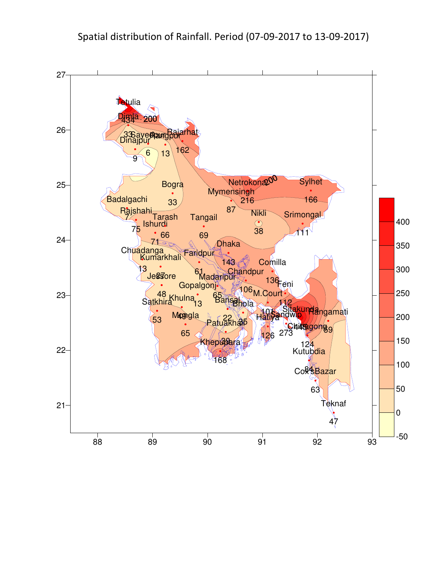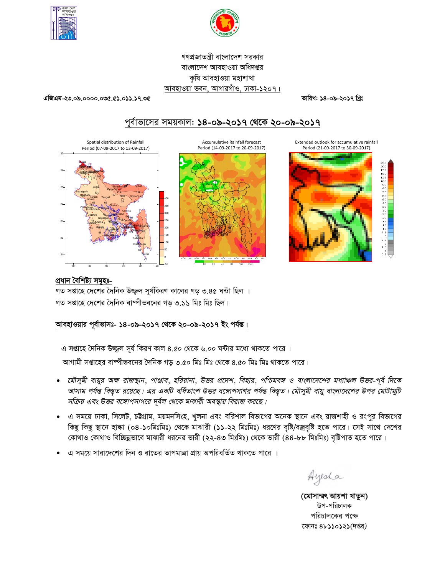



# গণপ্রজাতন্ত্রী বাংলাদেশ সরকার বাংলাদেশ আবহাওয়া অধিদপ্তর কৃষি আবহাওয়া মহাশাখা আবহাওয়া ভবন, আগারগাঁও, ঢাকা-১২০৭।

এজিএম-২৩.০৯.০০০০.০৩৫.৫১.০১১.১৭.৩৫

তারিখ: ১৪-০৯-২০১৭ খিঃ

Extended outlook for accumulative rainfall

Period (21-09-2017 to 30-09-2017)

# পূর্বাভাসের সময়কাল: ১৪-০৯-২০১৭ থেকে ২০-০৯-২০১৭

Spatial distribution of Rainfall Period (07-09-2017 to 13-09-2017)







## প্ৰধান বৈশিষ্ট্য সমূহঃ-

নত সপ্তাহে দেশের দৈনিক উজ্জল সর্যকিরণ কালের গড় ৩.৪৫ ঘন্টা ছিল । গত সপ্তাহে দেশের দৈনিক বাষ্পীভবনের গড় ৩.১১ মিঃ মিঃ ছিল।

## আবহাওয়ার পূর্বাভাসঃ- ১৪-০৯-২০১৭ থেকে ২০-০৯-২০১৭ ইং পর্যন্ত।

এ সপ্তাহে দৈনিক উজ্জল সূর্য কিরণ কাল ৪.৫০ থেকে ৬.০০ ঘন্টার মধ্যে থাকতে পারে ।

আগামী সপ্তাহের বাষ্পীভবনের দৈনিক গড় ৩.৫০ মিঃ মিঃ থেকে ৪.৫০ মিঃ মিঃ থাকতে পারে।

- মৌসুমী বায়ুর অক্ষ রাজস্থান, পাঞ্জাব, হরিয়ানা, উত্তর প্রদেশ, বিহার, পশ্চিমবঙ্গ ও বাংলাদেশের মধ্যাঞ্চল উত্তর-পূর্ব দিকে  $\bullet$ আসাম পর্যন্ত বিস্তৃত রয়েছে। এর একটি বর্ধিতাংশ উত্তর বঙ্গোপসাগর পর্যন্ত বিস্তৃত। মৌসুমী বায়ু বাংলাদেশের উপর মোটামুটি সক্রিয় এবং উত্তর বঙ্গোপসাগরে দূর্বল থেকে মাঝারী অবস্থায় বিরাজ করছে।
- এ সময়ে ঢাকা, সিলেট, চউগ্রাম, ময়মনসিংহ, খুলনা এবং বরিশাল বিভাগের অনেক স্থানে এবং রাজশাহী ও রংপুর বিভাগের কিছু কিছু স্থানে হাল্কা (০৪-১০মিঃমিঃ) থেকে মাঝারী (১১-২২ মিঃমিঃ) ধরণের বৃষ্টি/বজ্রবৃষ্টি হতে পারে। সেই সাথে দেশের কোথাও কোথাও বিচ্ছিন্নভাবে মাঝারী ধরনের ভারী (২২-৪৩ মিঃমিঃ) থেকে ভারী (৪৪-৮৮ মিঃমিঃ) বৃষ্টিপাত হতে পারে।
- এ সময়ে সারাদেশের দিন ও রাতের তাপমাত্রা প্রায় অপরিবর্তিত থাকতে পারে ।

Ayesha

(মোসাম্মৎ আয়শা খাতুন) উপ-পরিচালক পরিচালকের পক্ষে ফোনঃ ৪৮১১০১২১(দপ্তর)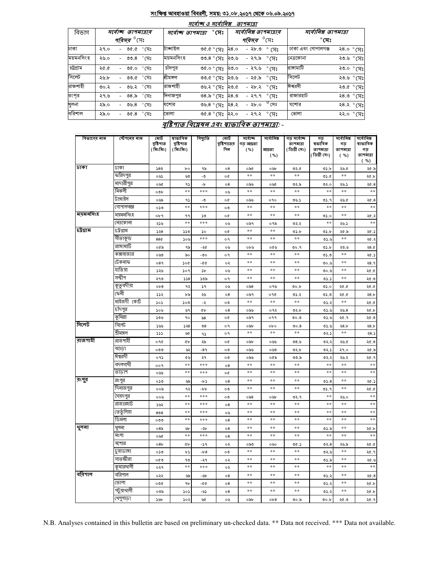#### সংক্ষিপ্ত আবহাওয়া বিবরণী, সময়: ৩১.০৮.২০১৭ থেকে ০৬.০৯.২০১৭  $\overline{a}$  and  $\overline{a}$  -

|           |                                                      |        |                      |                |                                    | <i>শবে। অ</i> ও <i>শ</i> বে।। সপ্ত |                |                               | ופומרוש                |                      |                    |           |                     |
|-----------|------------------------------------------------------|--------|----------------------|----------------|------------------------------------|------------------------------------|----------------|-------------------------------|------------------------|----------------------|--------------------|-----------|---------------------|
| বিভাগ     | সৰ্বোচ্ছ তাপমাত্ৰাৰ<br><i>পরিসর <sup>৩</sup></i> সেঃ |        |                      |                | $^\circ$ সেঃ<br>সৰ্বোচ্ছ তাপমাত্ৰা |                                    |                | সর্বোনিম্ন তাপমাত্রার         |                        | সর্বোনিম্ন তাপমাত্রা |                    |           |                     |
|           |                                                      |        |                      |                |                                    |                                    |                | <i>পরিসর <sup>৩</sup></i> সেঃ |                        | $^\circ$ সেঃ         |                    |           |                     |
| ঢাকা      | ২৭.০                                                 |        | $P^{\circ}$ 0.00 -   |                | টাঙ্গাইল                           |                                    | ৩৫.৫ ° সেঃ     | ২৪.০                          | -২৮৩                   | ° (त्र:              | ঢাকা এবং গোপালগঞ্জ |           | ২৪.০ °সেঃ           |
| ময়মনসিংহ | ২৬.০                                                 |        | - ৩৩.৪               | $^{\circ}$ সেঃ | ময়মনসিংহ                          |                                    | ৩৩.৪ ° সেঃ     | ২৩.৬                          | - ২৭.৯ $^{\circ}$ সেঃ  |                      | নেত্রকোনা          |           | ২৩.৬ ° সেঃ          |
| চট্টগ্ৰাম | ২৫.৫                                                 |        | - ৩৫.০               | $^{\circ}$ সেঃ | চাঁদপুর                            | ৩৫.০ ° সেঃ                         |                | ২৩.০                          | - ২৭.৬ $\degree$ সেঃ   |                      | রাসামাটি           |           | ২৩.০ ° সেঃ          |
| সিলেট     | ২৬.৮                                                 |        | - ৩৩.৫ °C সিঃ        |                | শ্ৰীমঙ্গল                          |                                    | ৩৩.৫ ° সেঃ     | ২৩.৬                          | - ২৫.৯ $\degree$ সেঃ   |                      | সিলেট              |           | ২৩.৬ ° সেঃ          |
| রাজশাহী   | 00.5                                                 |        | ৩৬.২ ° সেঃ           |                | রাজশাহী                            |                                    | ৩৬.২ ° সেঃ     | ২৩.৫                          | - ২৮.২ $\degree$ সেঃ   |                      | ঈশ্বরদী            |           | ২৩.৫ ° সেঃ          |
| রংপর      | ২৭.৬                                                 |        | - ৩৪.৯ $\degree$ সেঃ |                | দিনাজপুর                           |                                    | ৩৪.৯ ° সেঃ     | ২৪.৩                          | $-89.9$ $^{\circ}$ (H; |                      | রাজারহাট           |           | २ $8.0^\circ$ (प्रः |
| খুলনা     | ২৯.০                                                 | $\sim$ | ৩৬.৪                 | $^{\circ}$ সেঃ | যশোর                               | ৩৬.৪ ° সেঃ                         |                | ২৪.২                          | - ২৮.০                 | $^0$ সেঃ             | যশোর               |           | ২৪.২ °সেঃ           |
| বরিশাল    | ২৯.০                                                 |        | - ৩৫.৪               | $^\circ$ সেঃ   | ভোলা                               |                                    | ०८.८° (प: २२.० |                               | - ২৭.২ $\degree$ সেঃ   |                      | ভোলা               | ২২.০ °সেঃ |                     |

## বৃষ্টিপাত বিশ্লেষৰ এবং স্বাভাবিক তাপমাত্ৰা: -

| বিভাগের নাম | স্টেশনের নাম | মোট<br>বৃষ্টিপাত<br>(মিঃমিঃ) | ষাভাবিক<br>বৃষ্টিপাত<br>( মিঃমিঃ) | বিছ্যুতি      | মোট<br>বৃষ্টিশাতের<br>দিন | সৰ্বোচ্ছ<br>গড় আদ্ৰতা<br>( %) | সৰ্বোনিম্ন<br>আদ্ৰতা | গড় সর্বোচ্ছ<br>তাপমাত্রা<br>(ডিগ্ৰী সেঃ) | গড<br>ষভাবিক<br>তাপমাত্রা | সৰ্বোনিম্ন<br>গড়<br>তাপমাত্রা | সৰ্বোনিম্ন<br>ষাভাবিক<br>গড |
|-------------|--------------|------------------------------|-----------------------------------|---------------|---------------------------|--------------------------------|----------------------|-------------------------------------------|---------------------------|--------------------------------|-----------------------------|
|             |              |                              |                                   |               |                           |                                | ( %)                 |                                           | (ডিগ্ৰী সেঃ)              | ( %)                           | তাপমাত্রা<br>( %)           |
| ঢাকা        | ঢাকা         | 580                          | bo                                | ৭৯            | ο8                        | ০৯৫                            | ০৬৮                  | ৩২.৫                                      | ৩১.৮                      | ২৬.৫                           | ২৫.৯                        |
|             | করিদপুর      | ০৬১                          | ৬৩                                | -৩            | o¢                        | $\ast$ $\ast$                  | $\ast$ $\ast$        | $* *$                                     | 0.6                       | $\ast$ $\ast$                  | ২৫.৮                        |
|             | মাদারীপুর    | ০৬৫                          | ۹১                                | -p            | $\circ 8$                 | ০৯৬                            | ০৬৫                  | ৩২.৯                                      | ৩২.০                      | ২৬.১                           | 20.8                        |
|             | নিকলী        | ০৩৮                          | $**$                              | ***           | ০৬                        | $**$                           | **                   | $**$                                      | **                        | $\ast$ $\ast$                  | $\ast\ast$                  |
|             | টাঙ্গাইল     | ০৬৯                          | ۹১                                | -৩            | o¢                        | ০৯৬                            | 090                  | 0.5                                       | 05.9                      | ২৬.৫                           | ২৫.8                        |
|             | গোপালগজ্ঞ    | ০১৩                          | $* *$                             | ***           | ೲ                         | **                             | $**$                 | $* *$                                     | **                        | $***$                          | $\ast$                      |
| ময়মনসিংহ   | ময়মনসিংহ    | ০৮৭                          | ۹۹                                | ১৩            | o¢                        | $**$                           | $**$                 | $**$                                      | ৩১.০                      | $\ast$ $\ast$                  | ২৫.২                        |
|             | নেত্ৰকোনা    | ২১৬                          | $**$                              | ***           | ০৬                        | ০৯৭                            | ০৭৯                  | ৩২.২                                      | $**$                      | ২৬.১                           | $**$                        |
| চট্ৰগ্ৰাম   | ঢট্রগ্রাম    | 528                          | ১১৩                               | ১০            | o¢                        | $\ast\ast$                     | **                   | ৩১.৮                                      | ৩১.৮                      | ২৫.৯                           | ২৫.১                        |
|             | সীতাকুন্ড    | 88¢                          | ১০৬                               | ***           | ο٩                        | $* *$                          | $**$                 | $* *$                                     | 0.5.9                     | $* *$                          | ২৫.২                        |
|             | রাঙ্গামার্টি | ০৫৯                          | ৭৯                                | -২৫           | ০৬                        | ০৮৬                            | ০৫৬                  | ৩০.৭                                      | ৩১.৮                      | ২৩.৬                           | 28.0                        |
|             | কক্সবাজার    | ০৬৩                          | ৯০                                | -৩০           | o٩                        | $**$                           | $**$                 | $**$                                      | ৩১.৩                      | $\ast$ $\ast$                  | ২৫.১                        |
|             | টেকনাফ       | 089                          | ১০৫                               | $-00$         | ০২                        | **                             | $**$                 | **                                        | ৩০.৬                      | **                             | २8.१                        |
|             | হাতিয়া      | ১২৬                          | ১০৭                               | $\mathcal{P}$ | ০৬                        | **                             | $**$                 | **                                        | ৩০.৬                      | $**$                           | ২৫.৫                        |
|             | সন্দ্বীপ     | ২৭৩                          | 558                               | ১৩৯           | o٩                        | **                             | $**$                 | $**$                                      | 05.5                      | $\ast$ $\ast$                  | ৩.৩                         |
|             | কুতুবদীয়া   | ob8                          | ৭২                                | ১৭            | ০৬                        | ০৯৪                            | ০ ৭৬                 | 00.b                                      | ৩১.০                      | ২৫.৫                           | ১.৩২                        |
|             | ফেনী         | ১১২                          | ৮৯                                | ২৬            | 08                        | ০৯৭                            | ०१৫                  | ৩১.২                                      | ৩১.৩                      | ১.১২                           | 28.b                        |
|             | মাইজদী কোর্ট | 505                          | ১০৩                               | -২            | ০৩                        | $\ast\ast$                     | $\ast\ast$           | $**$                                      | ৩১.২                      | $\ast\ast$                     | 20.0                        |
|             | চাঁদপুর      | ১০৬                          | ৬৭                                | ¢Ъ            | $\circ 8$                 | ০৯৬                            | ०१२                  | ৩২.৮                                      | 95.6                      | ২৬.৪                           | ২৫.৮                        |
|             | কুমিল্লা     | ১৩৬                          | ٩o                                | $\delta$ 8    | o¢                        | ০৯৭                            | ०११                  | ৩০.৩                                      | 0.5.6                     | ২৫.৭                           | ৩.১۶                        |
| সিলেট       | সিলেট        | ১৬৬                          | 528                               | $\mathcal{S}$ | o٩                        | ০৯৮                            | 0 <sub>b</sub>       | 00.8                                      | 0.5.6                     | 28.5                           | 28.b                        |
|             | শ্ৰীমঙ্গল    | 555                          | ৬৫                                | ۹১            | o٩                        | $* *$                          | $**$                 | $***$                                     | ৩২.১                      | $***$                          | 28.5                        |
| রাজশাহী     | রাজশাইী      | ०१৫                          | ¢Ъ                                | ২৯            | o¢                        | ০৯৮                            | ০৬৬                  | ৩ $8.5$                                   | ৩২.২                      | ২৬.৫                           | ৩. ১২                       |
|             | বগুডা        | ೲಀ                           | ৬২                                | -89           | ০৩                        | ০৯৬                            | ০৬৩                  | ৩২.৮                                      | ৩২.১                      | ২৭.০                           | ২৫.৯                        |
|             | ঈশ্বরদী      | ०१১                          | ৫৬                                | ২৭            | ০৩                        | ০৯৬                            | ০৫৯                  | ৩৩.৯                                      | ৩২.২                      | ২৬.২                           | ২৫.৭                        |
|             | বদলগাৰ্ঘী    | 009                          | $**$                              | ***           | $\circ$ 8                 | **                             | $**$                 | **                                        | $**$                      | **                             | $*$                         |
|             | তাডাশ        | ০৬৬                          | $***$                             | ***           | o¢                        | $* *$                          | $**$                 | $***$                                     | $**$                      | **                             | $* *$                       |
| রংপুর       | রংপুর        | ০১৩                          | ৬৯                                | $-b$          | $\circ$ 8                 | $* *$                          | $**$                 | $* *$                                     | 05.8                      | $\ast$ $\ast$                  | ২৫.১                        |
|             | দিনাজপুর     | ००৯                          | ৭২                                | $-b$          | ০৩                        | $**$                           | $**$                 | **                                        | 05.9                      | $**$                           | ২৫.৫                        |
|             | সৈয়দপুর     | ০০৬                          | $**$                              | ***           | ০৩                        | $\circ$ ৯8                     | ০৬৮                  | ৩২.৭                                      | $**$                      | ২৬.০                           | $\ast\ast$                  |
|             | রাজারহাট     | ১৬২                          | $**$                              | ***           | $^{\circ8}$               | $**$                           | **                   | **                                        | $**$                      | **                             | $\ast\ast$                  |
|             | তেতুঁলিয়া   | 808                          | $***$                             | ***           | ০৬                        | $* *$                          | $**$                 | **                                        | **                        | **                             | $\ast\ast$                  |
|             | ডিমলা        | ೦೦೦                          | $**$                              | ***           | 08                        | $* *$                          | $**$                 | $**$                                      | **                        | $**$                           | $**$                        |
| থুলনা       | থুলনা        | 08 <sub>o</sub>              | b                                 | - 26          | $\circ$ 8                 | $\ast\ast$                     | $**$                 | **                                        | 05.5                      | **                             | ২৫.৮                        |
|             | মংলা         | ০৬৫                          | $***$                             | ***           | $\circ 8$                 | $* *$                          | $**$                 | $***$                                     | $**$                      | $***$                          | $\ast\ast$                  |
|             | যশোর         | 08 <sub>b</sub>              | ¢Ъ                                | -১৭           | ०२                        | ಂ৯৩                            | ০৬০                  | ৩৫.১                                      | 02.8                      | ২৬.৯                           | 20.05                       |
|             | চুয়াডাঙ্গা  | ০১৩                          | ৮১                                | $-b8$         | ০৩                        | **                             | $**$                 | $**$                                      | いこ                        | $**$                           | ২৫.৭                        |
|             | সাতস্কীরা    | ০৫৩                          | ৭৩                                | -২৭           | ०२                        | $* *$                          | $**$                 | $* *$                                     | ৩১.৯                      | $\ast$ $\ast$                  | ৩.১২                        |
|             | কুমারখালী    | ०२१                          | $**$                              | ***           | ০২                        | $**$                           | $**$                 | $**$                                      | **                        | $**$                           | $\ast\ast$                  |
| বরিশাল      | বরিশাল       | ০২২                          | ৬৯                                | -96           | 08                        | $**$                           | $**$                 | **                                        | ৩১.২                      | $**$                           | ২৫.8                        |
|             | ভোলা         | ০৩৫                          | ٩b                                | -66           | $\circ$ 8                 | $\ast$ $\ast$                  | $**$                 | $**$                                      | 05.3                      | $\ast$ $\ast$                  | ২৫.৮                        |
|             | পটুয়াথালী   | ০৩৯                          | ১০১                               | -৬১           | 08                        | $**$                           | $**$                 | $**$                                      | ৩১.২                      | $**$                           | ২৫.৮                        |
|             | খেপুপাড়া    | ১৬৮                          | ১০২                               | ₩             | ০৬                        | ০৯৮                            | ob8                  | ৩০.৯                                      | 00.b                      | ৩.১২                           | ২৫.৭                        |

N.B. Analyses contained in this bulletin are based on preliminary un-checked data. \*\* Data not received. \*\*\* Data not available.